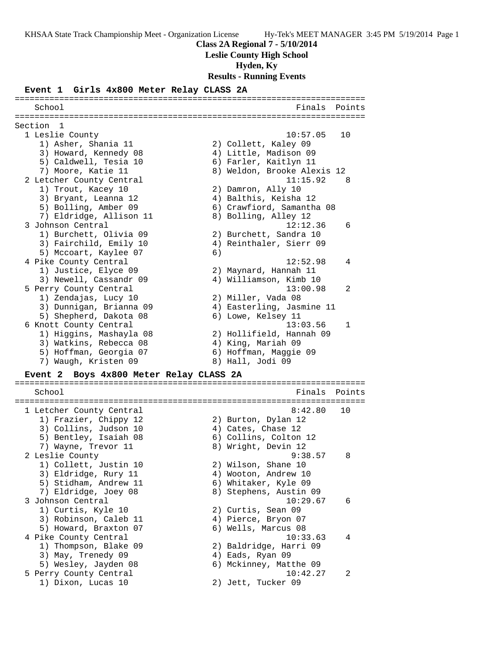**Class 2A Regional 7 - 5/10/2014**

**Leslie County High School**

**Hyden, Ky**

**Results - Running Events**

#### **Event 1 Girls 4x800 Meter Relay CLASS 2A**

School **Finals** Points ======================================================================= Section 1 1 Leslie County 10:57.05 10 1) Asher, Shania 11 2) Collett, Kaley 09 3) Howard, Kennedy 08 4) Little, Madison 09 5) Caldwell, Tesia 10 6) Farler, Kaitlyn 11 7) Moore, Katie 11 8) Weldon, Brooke Alexis 12 2 Letcher County Central 11:15.92 8 1) Trout, Kacey 10 2) Damron, Ally 10 3) Bryant, Leanna 12 4) Balthis, Keisha 12 5) Bolling, Amber 09 6) Crawfiord, Samantha 08 7) Eldridge, Allison 11 and 8) Bolling, Alley 12 3 Johnson Central 12:12.36 6 1) Burchett, Olivia 09 2) Burchett, Sandra 10 3) Fairchild, Emily 10 4) Reinthaler, Sierr 09 5) Mccoart, Kaylee 07 6) 4 Pike County Central 12:52.98 4 1) Justice, Elyce 09 2) Maynard, Hannah 11 3) Newell, Cassandr 09 4) Williamson, Kimb 10 5 Perry County Central 13:00.98 2 1) Zendajas, Lucy 10 2) Miller, Vada 08 3) Dunnigan, Brianna 09 4) Easterling, Jasmine 11 5) Shepherd, Dakota 08 6) Lowe, Kelsey 11 6 Knott County Central 13:03.56 1 1) Higgins, Mashayla 08 2) Hollifield, Hannah 09 3) Watkins, Rebecca 08  $\hskip1cm$  4) King, Mariah 09 5) Hoffman, Georgia 07 6) Hoffman, Maggie 09 7) Waugh, Kristen 09 8) Hall, Jodi 09 **Event 2 Boys 4x800 Meter Relay CLASS 2A** =======================================================================

=======================================================================

School **Finals Points** ======================================================================= 1 Letcher County Central 8:42.80 10 1) Frazier, Chippy 12 2) Burton, Dylan 12 3) Collins, Judson 10 (4) Cates, Chase 12 5) Bentley, Isaiah 08 6) Collins, Colton 12 7) Wayne, Trevor 11 and 8) Wright, Devin 12 2 Leslie County 9:38.57 8 1) Collett, Justin 10 2) Wilson, Shane 10 3) Eldridge, Rury 11 (4) Wooton, Andrew 10 5) Stidham, Andrew 11 6) Whitaker, Kyle 09 7) Eldridge, Joey 08 8) Stephens, Austin 09 3 Johnson Central 10:29.67 6 1) Curtis, Kyle 10 2) Curtis, Sean 09 3) Robinson, Caleb 11 (4) Pierce, Bryon 07 5) Howard, Braxton 07 (6) Wells, Marcus 08 4 Pike County Central 10:33.63 4 1) Thompson, Blake 09 2) Baldridge, Harri 09 3) May, Trenedy 09 4) Eads, Ryan 09 5) Wesley, Jayden 08 6) Mckinney, Matthe 09 5 Perry County Central 10:42.27 2 1) Dixon, Lucas 10 2) Jett, Tucker 09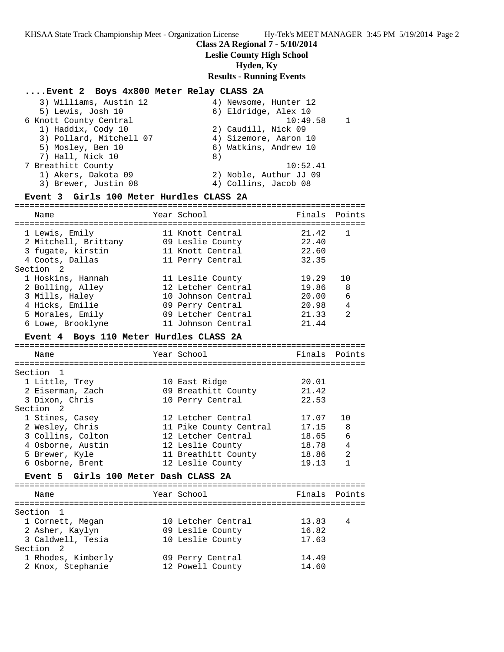### **Class 2A Regional 7 - 5/10/2014**

### **Leslie County High School**

## **Hyden, Ky**

### **Results - Running Events**

#### **....Event 2 Boys 4x800 Meter Relay CLASS 2A**

| 3) Williams, Austin 12  | 4) Newsome, Hunter 12  |
|-------------------------|------------------------|
| 5) Lewis, Josh 10       | 6) Eldridge, Alex 10   |
| 6 Knott County Central  | 10:49.58               |
| 1) Haddix, Cody 10      | 2) Caudill, Nick 09    |
| 3) Pollard, Mitchell 07 | 4) Sizemore, Aaron 10  |
| 5) Mosley, Ben 10       | 6) Watkins, Andrew 10  |
| 7) Hall, Nick 10        | 8)                     |
| 7 Breathitt County      | 10:52.41               |
| 1) Akers, Dakota 09     | 2) Noble, Authur JJ 09 |
| 3) Brewer, Justin 08    | 4) Collins, Jacob 08   |
|                         |                        |

## **Event 3 Girls 100 Meter Hurdles CLASS 2A**

| Name                                                                           | Year School                                                                  | Finals Points                    |                |
|--------------------------------------------------------------------------------|------------------------------------------------------------------------------|----------------------------------|----------------|
| 1 Lewis, Emily<br>2 Mitchell, Brittany<br>3 fugate, kirstin<br>4 Coots, Dallas | 11 Knott Central<br>09 Leslie County<br>11 Knott Central<br>11 Perry Central | 21.42<br>22.40<br>22.60<br>32.35 | -1             |
| Section 2                                                                      |                                                                              |                                  |                |
| 1 Hoskins, Hannah                                                              | 11 Leslie County                                                             | 19.29                            | 10             |
| 2 Bolling, Alley                                                               | 12 Letcher Central                                                           | 19.86                            | 8              |
| 3 Mills, Haley                                                                 | 10 Johnson Central                                                           | 20.00                            | 6              |
| 4 Hicks, Emilie                                                                | 09 Perry Central                                                             | 20.98                            | 4              |
| 5 Morales, Emily                                                               | 09 Letcher Central                                                           | 21.33                            | $\mathfrak{D}$ |
| 6 Lowe, Brooklyne                                                              | 11 Johnson Central                                                           | 21.44                            |                |

#### **Event 4 Boys 110 Meter Hurdles CLASS 2A**

======================================================================= Name The Year School The Pinals Points ======================================================================= Section 1 1 Little, Trey 10 East Ridge 20.01 2 Eiserman, Zach 09 Breathitt County 21.42 3 Dixon, Chris 10 Perry Central 22.53 Section 2 1 Stines, Casey 12 Letcher Central 17.07 10 2 Wesley, Chris 11 Pike County Central 17.15 8 3 Collins, Colton 12 Letcher Central 18.65 6 4 Osborne, Austin 12 Leslie County 18.78 4 5 Brewer, Kyle 11 Breathitt County 18.86 2 6 Osborne, Brent 12 Leslie County 19.13 1

## **Event 5 Girls 100 Meter Dash CLASS 2A**

======================================================================= Year School **Finals** Points ======================================================================= Section 1 1 Cornett, Megan 10 Letcher Central 13.83 4 2 Asher, Kaylyn 09 Leslie County 16.82 3 Caldwell, Tesia 10 Leslie County 17.63 Section 2 1 Rhodes, Kimberly 09 Perry Central 14.49 2 Knox, Stephanie 12 Powell County 14.60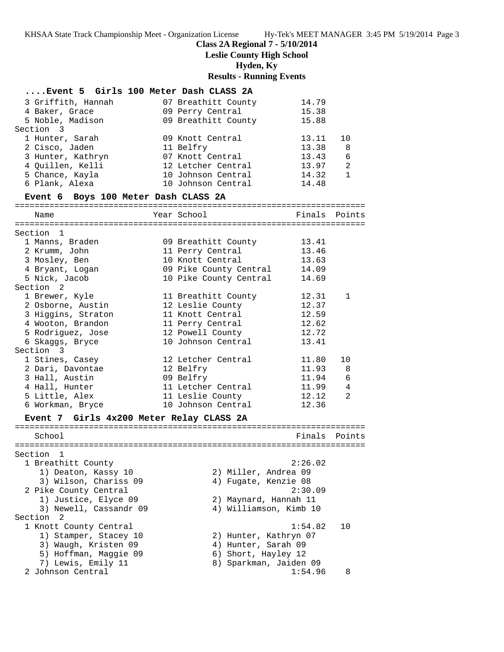# **Class 2A Regional 7 - 5/10/2014**

**Leslie County High School**

**Hyden, Ky**

# **Results - Running Events**

| Event 5 Girls 100 Meter Dash CLASS 2A    |                        |               |                |
|------------------------------------------|------------------------|---------------|----------------|
| 3 Griffith, Hannah                       | 07 Breathitt County    | 14.79         |                |
| 4 Baker, Grace                           | 09 Perry Central       | 15.38         |                |
| 5 Noble, Madison                         | 09 Breathitt County    | 15.88         |                |
| Section 3                                |                        |               |                |
| 1 Hunter, Sarah                          | 09 Knott Central       | 13.11         | 10             |
| 2 Cisco, Jaden                           | 11 Belfry              | 13.38         | 8              |
| 3 Hunter, Kathryn                        | 07 Knott Central       | 13.43         | 6              |
| 4 Quillen, Kelli                         | 12 Letcher Central     | 13.97         | 2              |
| 5 Chance, Kayla                          | 10 Johnson Central     | 14.32         | $\mathbf{1}$   |
| 6 Plank, Alexa                           | 10 Johnson Central     | 14.48         |                |
| Event 6 Boys 100 Meter Dash CLASS 2A     |                        |               |                |
|                                          |                        |               |                |
| Name                                     | Year School            | Finals Points |                |
| Section 1                                |                        |               |                |
| 1 Manns, Braden                          | 09 Breathitt County    | 13.41         |                |
| 2 Krumm, John                            | 11 Perry Central       | 13.46         |                |
| 3 Mosley, Ben                            | 10 Knott Central       | 13.63         |                |
| 4 Bryant, Logan                          | 09 Pike County Central | 14.09         |                |
| 5 Nick, Jacob                            | 10 Pike County Central | 14.69         |                |
| Section <sub>2</sub>                     |                        |               |                |
| 1 Brewer, Kyle                           | 11 Breathitt County    | 12.31         | $\mathbf 1$    |
| 2 Osborne, Austin                        | 12 Leslie County       | 12.37         |                |
| 3 Higgins, Straton                       | 11 Knott Central       | 12.59         |                |
| 4 Wooton, Brandon                        | 11 Perry Central       | 12.62         |                |
| 5 Rodriguez, Jose                        | 12 Powell County       | 12.72         |                |
| 6 Skaggs, Bryce                          | 10 Johnson Central     | 13.41         |                |
| Section 3                                |                        |               |                |
| 1 Stines, Casey                          | 12 Letcher Central     | 11.80         | 10             |
| 2 Dari, Davontae                         | 12 Belfry              | 11.93         | - 8            |
| 3 Hall, Austin                           | 09 Belfry              | 11.94         | 6              |
| 4 Hall, Hunter                           | 11 Letcher Central     | 11.99         | $\overline{4}$ |
| 5 Little, Alex                           | 11 Leslie County       | 12.12         | 2              |
| 6 Workman, Bryce                         | 10 Johnson Central     | 12.36         |                |
| Event 7 Girls 4x200 Meter Relay CLASS 2A |                        |               |                |
|                                          |                        |               |                |
| School                                   |                        | Finals Points |                |
|                                          |                        |               |                |
| Section 1                                |                        |               |                |
| 1 Breathitt County                       |                        | 2:26.02       |                |
| 1) Deaton, Kassy 10                      | 2) Miller, Andrea 09   |               |                |
| 3) Wilson, Chariss 09                    | 4) Fugate, Kenzie 08   |               |                |
| 2 Pike County Central                    |                        | 2:30.09       |                |
| 1) Justice, Elyce 09                     | 2) Maynard, Hannah 11  |               |                |
| 3) Newell, Cassandr 09                   | 4) Williamson, Kimb 10 |               |                |
| Section<br>2                             |                        |               |                |
| 1 Knott County Central                   |                        | 1:54.82       | 10             |
| 1) Stamper, Stacey 10                    | 2) Hunter, Kathryn 07  |               |                |
| 3) Waugh, Kristen 09                     | 4) Hunter, Sarah 09    |               |                |
| 5) Hoffman, Maggie 09                    | 6) Short, Hayley 12    |               |                |
| 7) Lewis, Emily 11                       | 8) Sparkman, Jaiden 09 |               |                |
| 2 Johnson Central                        |                        | 1:54.96       | 8              |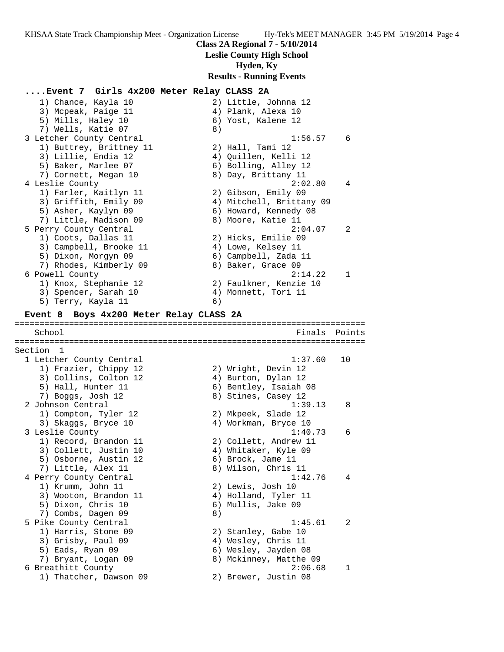**Class 2A Regional 7 - 5/10/2014**

**Leslie County High School**

**Hyden, Ky**

**Results - Running Events**

**....Event 7 Girls 4x200 Meter Relay CLASS 2A** 1) Chance, Kayla 10 2) Little, Johnna 12 3) Mcpeak, Paige 11 (4) Plank, Alexa 10 5) Mills, Haley 10 6) Yost, Kalene 12 7) Wells, Katie 07 (8) 3 Letcher County Central 1:56.57 6 1) Buttrey, Brittney 11 (2) Hall, Tami 12 3) Lillie, Endia 12 4) Quillen, Kelli 12 5) Baker, Marlee 07 (6) Bolling, Alley 12 7) Cornett, Megan 10 8) Day, Brittany 11 4 Leslie County 2:02.80 4 1) Farler, Kaitlyn 11 2) Gibson, Emily 09 3) Griffith, Emily 09 4) Mitchell, Brittany 09 5) Asher, Kaylyn 09 6) Howard, Kennedy 08 7) Little, Madison 09 8) Moore, Katie 11 5 Perry County Central 2:04.07 2 1) Coots, Dallas 11 2) Hicks, Emilie 09 3) Campbell, Brooke 11  $\hskip10mm 4$ ) Lowe, Kelsey 11 5) Dixon, Morgyn 09 6) Campbell, Zada 11 7) Rhodes, Kimberly 09 8) Baker, Grace 09 6 Powell County 2:14.22 1 1) Knox, Stephanie 12 2) Faulkner, Kenzie 10 3) Spencer, Sarah 10 4) Monnett, Tori 11 5) Terry, Kayla 11 6) **Event 8 Boys 4x200 Meter Relay CLASS 2A** ======================================================================= School **Finals Points** ======================================================================= Section 1 1 Letcher County Central 1:37.60 10 1) Frazier, Chippy 12 2) Wright, Devin 12 3) Collins, Colton 12 4) Burton, Dylan 12 5) Hall, Hunter 11 6) Bentley, Isaiah 08 7) Boggs, Josh 12 8) Stines, Casey 12 2 Johnson Central 1:39.13 8 1:39.<br>
1) Compton, Tyler 12 2) Mkpeek, Slade 12<br>
3) Skaggs, Bryce 10 3) 4) Workman, Bryce 10 3) Skaggs, Bryce 10  $\hskip1cm \hskip1cm 4$ ) Workman, Bryce 10 3 Leslie County 1:40.73 6 1) Record, Brandon 11 2) Collett, Andrew 11 3) Collett, Justin 10  $\hskip1cm$  4) Whitaker, Kyle 09 5) Osborne, Austin 12 (6) Brock, Jame 11 7) Little, Alex 11 8) Wilson, Chris 11 4 Perry County Central 1:42.76 4 1) Krumm, John 11 2) Lewis, Josh 10 3) Wooton, Brandon 11  $\hskip10mm$  4) Holland, Tyler 11 5) Dixon, Chris 10 6) Mullis, Jake 09 7) Combs, Dagen 09 8) 5 Pike County Central 1:45.61 2 1) Harris, Stone 09 2) Stanley, Gabe 10 3) Grisby, Paul 09 (4) Wesley, Chris 11 5) Eads, Ryan 09 6) Wesley, Jayden 08 7) Bryant, Logan 09 8) Mckinney, Matthe 09 6 Breathitt County 2:06.68 1 1) Thatcher, Dawson 09 2) Brewer, Justin 08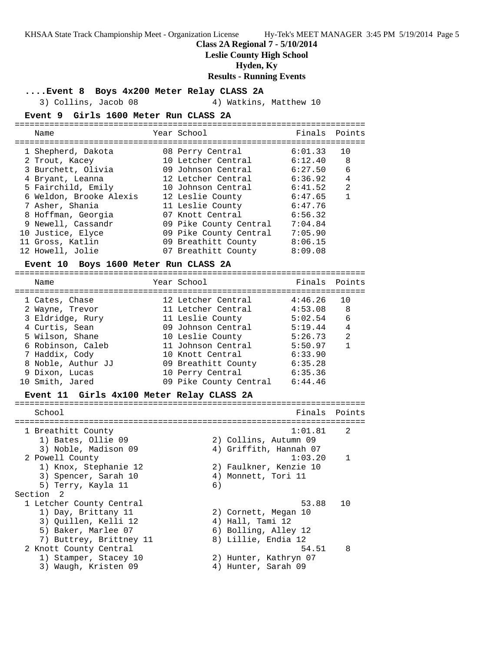**Class 2A Regional 7 - 5/10/2014**

**Leslie County High School**

**Hyden, Ky**

**Results - Running Events**

**....Event 8 Boys 4x200 Meter Relay CLASS 2A**

3) Collins, Jacob 08 4) Watkins, Matthew 10

### **Event 9 Girls 1600 Meter Run CLASS 2A**

|  | Name                                                                                                                                                                                                                | Year School                                                                                                                                                                                                              | Finals                                                                                                     | Points                              |
|--|---------------------------------------------------------------------------------------------------------------------------------------------------------------------------------------------------------------------|--------------------------------------------------------------------------------------------------------------------------------------------------------------------------------------------------------------------------|------------------------------------------------------------------------------------------------------------|-------------------------------------|
|  | 1 Shepherd, Dakota<br>2 Trout, Kacey<br>3 Burchett, Olivia<br>4 Bryant, Leanna<br>5 Fairchild, Emily<br>6 Weldon, Brooke Alexis<br>7 Asher, Shania<br>8 Hoffman, Georgia<br>9 Newell, Cassandr<br>10 Justice, Elyce | 08 Perry Central<br>10 Letcher Central<br>09 Johnson Central<br>12 Letcher Central<br>10 Johnson Central<br>12 Leslie County<br>11 Leslie County<br>07 Knott Central<br>09 Pike County Central<br>09 Pike County Central | 6:01.33<br>6:12.40<br>6:27.50<br>6:36.92<br>6:41.52<br>6:47.65<br>6:47.76<br>6:56.32<br>7:04.84<br>7:05.90 | 10<br>8<br>6<br>4<br>$\mathfrak{D}$ |
|  | 11 Gross, Katlin<br>12 Howell, Jolie                                                                                                                                                                                | 09 Breathitt County<br>07 Breathitt County                                                                                                                                                                               | 8:06.15<br>8:09.08                                                                                         |                                     |
|  |                                                                                                                                                                                                                     |                                                                                                                                                                                                                          |                                                                                                            |                                     |

## **Event 10 Boys 1600 Meter Run CLASS 2A**

| Name               | Year School            | Finals Points |                |
|--------------------|------------------------|---------------|----------------|
| 1 Cates, Chase     | 12 Letcher Central     | 4:46.26       | 10             |
| 2 Wayne, Trevor    | 11 Letcher Central     | 4:53.08       | 8              |
| 3 Eldridge, Rury   | 11 Leslie County       | 5:02.54       | 6              |
| 4 Curtis, Sean     | 09 Johnson Central     | 5:19.44       | 4              |
| 5 Wilson, Shane    | 10 Leslie County       | 5:26.73       | $\mathfrak{D}$ |
| 6 Robinson, Caleb  | 11 Johnson Central     | 5:50.97       | 1              |
| 7 Haddix, Cody     | 10 Knott Central       | 6:33.90       |                |
| 8 Noble, Authur JJ | 09 Breathitt County    | 6:35.28       |                |
| 9 Dixon, Lucas     | 10 Perry Central       | 6:35.36       |                |
| 10 Smith, Jared    | 09 Pike County Central | 6:44.46       |                |

#### **Event 11 Girls 4x100 Meter Relay CLASS 2A**

| School                   |    |                        | Finals Points  |
|--------------------------|----|------------------------|----------------|
| 1 Breathitt County       |    | 1:01.81                | $\mathcal{L}$  |
| 1) Bates, Ollie 09       |    | 2) Collins, Autumn 09  |                |
| 3) Noble, Madison 09     |    | 4) Griffith, Hannah 07 |                |
| 2 Powell County          |    | 1:03.20                | $\overline{1}$ |
| 1) Knox, Stephanie 12    |    | 2) Faulkner, Kenzie 10 |                |
| 3) Spencer, Sarah 10     |    | 4) Monnett, Tori 11    |                |
| 5) Terry, Kayla 11       | 6) |                        |                |
| Section<br>- 2           |    |                        |                |
| 1 Letcher County Central |    | 53.88                  | 1 O            |
| 1) Day, Brittany 11      |    | 2) Cornett, Megan 10   |                |
| 3) Ouillen, Kelli 12     |    | 4) Hall, Tami 12       |                |
| 5) Baker, Marlee 07      |    | 6) Bolling, Alley 12   |                |
| 7) Buttrey, Brittney 11  |    | 8) Lillie, Endia 12    |                |
| 2 Knott County Central   |    | 54.51                  | 8              |
| 1) Stamper, Stacey 10    |    | 2) Hunter, Kathryn 07  |                |
| 3) Waugh, Kristen 09     | 4) | Hunter, Sarah 09       |                |
|                          |    |                        |                |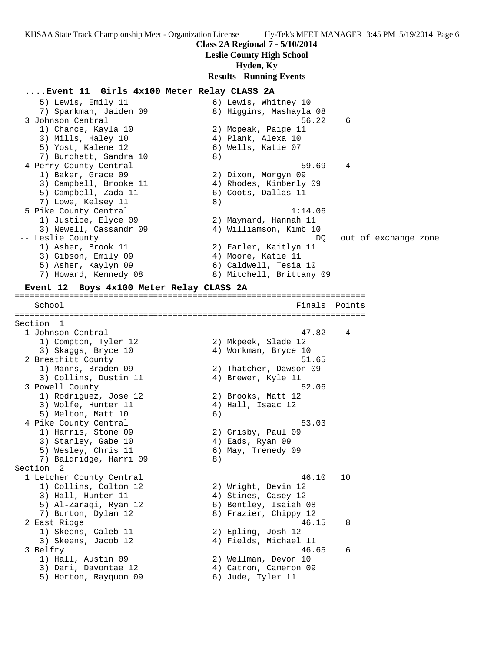**Class 2A Regional 7 - 5/10/2014**

**Leslie County High School**

#### **Hyden, Ky**

**Results - Running Events**

## **....Event 11 Girls 4x100 Meter Relay CLASS 2A**

5) Lewis, Emily 11 6) Lewis, Whitney 10 7) Sparkman, Jaiden 09 8) Higgins, Mashayla 08 3 Johnson Central 56.22 6 1) Chance, Kayla 10 2) Mcpeak, Paige 11 3) Mills, Haley 10 (4) Plank, Alexa 10 5) Yost, Kalene 12 6) Wells, Katie 07 7) Burchett, Sandra 10 (8) 4 Perry County Central 59.69 4 1) Baker, Grace 09 2) Dixon, Morgyn 09 3) Campbell, Brooke 11 4) Rhodes, Kimberly 09 5) Campbell, Zada 11 (6) Coots, Dallas 11 7) Lowe, Kelsey 11 8) 5 Pike County Central 1:14.06 1) Justice, Elyce 09 2) Maynard, Hannah 11 Ith a set of the County Central (1998)<br>1) Justice, Elyce 09 (2) Maynard, Hannah 11<br>3) Newell, Cassandr 09 (4) Williamson, Kimb 10 -- Leslie County DQ out of exchange zone 1) Asher, Brook 11 2) Farler, Kaitlyn 11 3) Gibson, Emily 09 (4) Moore, Katie 11 5) Asher, Kaylyn 09 6) Caldwell, Tesia 10 7) Howard, Kennedy 08 8) Mitchell, Brittany 09 **Event 12 Boys 4x100 Meter Relay CLASS 2A** ======================================================================= School **Finals Points** ======================================================================= Section 1 1 Johnson Central 47.82 4 1) Compton, Tyler 12 2) Mkpeek, Slade 12 3) Skaggs, Bryce 10  $\hskip1cm \hskip1cm 4$ ) Workman, Bryce 10 2 Breathitt County 61.65 1) Manns, Braden 09 2) Thatcher, Dawson 09 3) Collins, Dustin 11 (4) Brewer, Kyle 11 3 Powell County 52.06 1) Rodriguez, Jose 12 (2) Brooks, Matt 12 3) Wolfe, Hunter 11 (4) Hall, Isaac 12 5) Melton, Matt 10 (6) 4 Pike County Central 53.03 1) Harris, Stone 09 2) Grisby, Paul 09 3) Stanley, Gabe 10 (4) Eads, Ryan 09 5) Wesley, Chris 11 6) May, Trenedy 09 7) Baldridge, Harri 09 8) Section 2 1 Letcher County Central 46.10 10 1) Collins, Colton 12 2) Wright, Devin 12 3) Hall, Hunter 11 4) Stines, Casey 12 5) Al-Zaraqi, Ryan 12 6) Bentley, Isaiah 08 7) Burton, Dylan 12 8) Frazier, Chippy 12 2 East Ridge 46.15 8 1) Skeens, Caleb 11 2) Epling, Josh 12 3) Skeens, Jacob 12 4) Fields, Michael 11 3 Belfry 46.65 6 1) Hall, Austin 09 2) Wellman, Devon 10 3) Dari, Davontae 12 4) Catron, Cameron 09 5) Horton, Rayquon 09 6) Jude, Tyler 11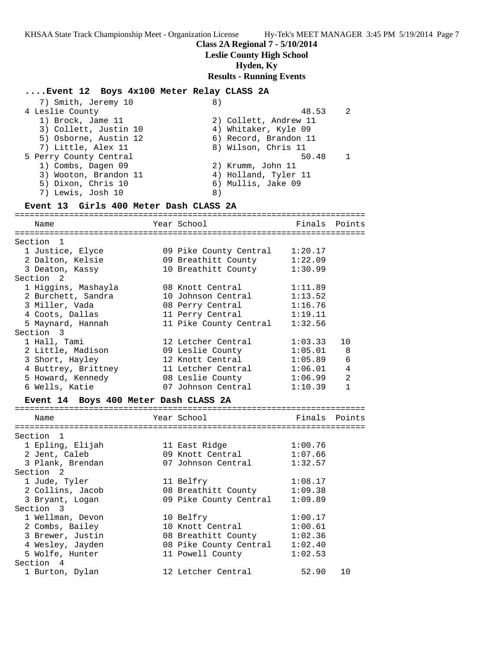## **Class 2A Regional 7 - 5/10/2014**

## **Leslie County High School**

## **Hyden, Ky**

### **Results - Running Events**

## **....Event 12 Boys 4x100 Meter Relay CLASS 2A**

| 7) Smith, Jeremy 10    | 8)                    |  |
|------------------------|-----------------------|--|
| 4 Leslie County        | 48.53                 |  |
| 1) Brock, Jame 11      | 2) Collett, Andrew 11 |  |
| 3) Collett, Justin 10  | 4) Whitaker, Kyle 09  |  |
| 5) Osborne, Austin 12  | 6) Record, Brandon 11 |  |
| 7) Little, Alex 11     | 8) Wilson, Chris 11   |  |
| 5 Perry County Central | 50.48                 |  |
| 1) Combs, Dagen 09     | 2) Krumm, John 11     |  |
| 3) Wooton, Brandon 11  | 4) Holland, Tyler 11  |  |
| 5) Dixon, Chris 10     | 6) Mullis, Jake 09    |  |
| 7) Lewis, Josh 10      | 8)                    |  |
|                        |                       |  |

## **Event 13 Girls 400 Meter Dash CLASS 2A**

======================================================================= Name Year School Finals Points ======================================================================= Section 1 1 Justice, Elyce 09 Pike County Central 1:20.17 2 Dalton, Kelsie 09 Breathitt County 1:22.09 3 Deaton, Kassy 10 Breathitt County 1:30.99 Section 2 1 Higgins, Mashayla 08 Knott Central 1:11.89 2 Burchett, Sandra 10 Johnson Central 1:13.52 3 Miller, Vada 08 Perry Central 1:16.76 4 Coots, Dallas 11 Perry Central 1:19.11 5 Maynard, Hannah 11 Pike County Central 1:32.56 Section 3 1 Hall, Tami 12 Letcher Central 1:03.33 10 2 Little, Madison 09 Leslie County 1:05.01 8 3 Short, Hayley 12 Knott Central 1:05.89 6 4 Buttrey, Brittney 11 Letcher Central 1:06.01 4 5 Howard, Kennedy 08 Leslie County 1:06.99 2 6 Wells, Katie 07 Johnson Central 1:10.39 1

## **Event 14 Boys 400 Meter Dash CLASS 2A**

| Name                      | Year School            | Finals Points |    |
|---------------------------|------------------------|---------------|----|
|                           |                        |               |    |
| Section<br>$\overline{1}$ |                        |               |    |
| 1 Epling, Elijah          | 11 East Ridge          | 1:00.76       |    |
| 2 Jent, Caleb             | 09 Knott Central       | 1:07.66       |    |
| 3 Plank, Brendan          | 07 Johnson Central     | 1:32.57       |    |
| Section 2                 |                        |               |    |
| 1 Jude, Tyler             | 11 Belfry              | 1:08.17       |    |
| 2 Collins, Jacob          | 08 Breathitt County    | 1:09.38       |    |
| 3 Bryant, Logan           | 09 Pike County Central | 1:09.89       |    |
| Section 3                 |                        |               |    |
| 1 Wellman, Devon          | 10 Belfry              | 1:00.17       |    |
| 2 Combs, Bailey           | 10 Knott Central       | 1:00.61       |    |
| 3 Brewer, Justin          | 08 Breathitt County    | 1:02.36       |    |
| 4 Wesley, Jayden          | 08 Pike County Central | 1:02.40       |    |
| 5 Wolfe, Hunter           | 11 Powell County       | 1:02.53       |    |
| Section 4                 |                        |               |    |
| 1 Burton, Dylan           | 12 Letcher Central     | 52.90         | 10 |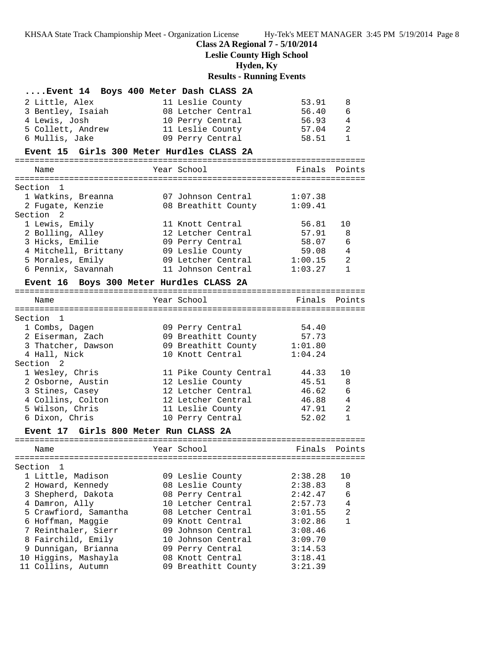## **Class 2A Regional 7 - 5/10/2014**

**Leslie County High School**

**Hyden, Ky**

# **Results - Running Events**

## **....Event 14 Boys 400 Meter Dash CLASS 2A**

| 2 Little, Alex    | 11 Leslie County   | 53.91 | -8             |
|-------------------|--------------------|-------|----------------|
| 3 Bentley, Isaiah | 08 Letcher Central | 56.40 | 6              |
| 4 Lewis, Josh     | 10 Perry Central   | 56.93 | 4              |
| 5 Collett, Andrew | 11 Leslie County   | 57.04 | 2              |
| 6 Mullis, Jake    | 09 Perry Central   | 58.51 | $\overline{1}$ |

### **Event 15 Girls 300 Meter Hurdles CLASS 2A**

=======================================================================

| Name                 | Year School         | Finals Points |                |
|----------------------|---------------------|---------------|----------------|
|                      |                     |               |                |
| Section 1            |                     |               |                |
| 1 Watkins, Breanna   | 07 Johnson Central  | 1:07.38       |                |
| 2 Fugate, Kenzie     | 08 Breathitt County | 1:09.41       |                |
| Section <sub>2</sub> |                     |               |                |
| 1 Lewis, Emily       | 11 Knott Central    | 56.81         | 10             |
| 2 Bolling, Alley     | 12 Letcher Central  | 57.91         | 8              |
| 3 Hicks, Emilie      | 09 Perry Central    | 58.07         | 6              |
| 4 Mitchell, Brittany | 09 Leslie County    | 59.08         | $\overline{4}$ |
| 5 Morales, Emily     | 09 Letcher Central  | 1:00.15       | $\mathfrak{D}$ |
| 6 Pennix, Savannah   | 11 Johnson Central  | 1:03.27       |                |
|                      |                     |               |                |

# **Event 16 Boys 300 Meter Hurdles CLASS 2A**

| Name                                  | Year School                 | Finals  | Points         |
|---------------------------------------|-----------------------------|---------|----------------|
|                                       |                             |         |                |
| Section 1                             |                             |         |                |
| 1 Combs, Dagen                        | 09 Perry Central            | 54.40   |                |
| 2 Eiserman, Zach                      | 09 Breathitt County         | 57.73   |                |
| 3 Thatcher, Dawson                    | 09 Breathitt County 1:01.80 |         |                |
| 4 Hall, Nick                          | 10 Knott Central            | 1:04.24 |                |
| Section 2                             |                             |         |                |
| 1 Wesley, Chris                       | 11 Pike County Central      | 44.33   | 10             |
| 2 Osborne, Austin                     | 12 Leslie County            | 45.51   | 8              |
| 3 Stines, Casey                       | 12 Letcher Central          | 46.62   | 6              |
| 4 Collins, Colton                     | 12 Letcher Central          | 46.88   | $\overline{4}$ |
| 5 Wilson, Chris                       | 11 Leslie County            | 47.91   | $\mathfrak{D}$ |
| 6 Dixon, Chris                        | 10 Perry Central            | 52.02   | 1              |
| Event 17 Girls 800 Meter Run CLASS 2A |                             |         |                |
| Name                                  | Year School                 | Finals  | Points         |
|                                       |                             |         |                |

| Section 1             |  |                                                                                                                                                                                                                                     |    |
|-----------------------|--|-------------------------------------------------------------------------------------------------------------------------------------------------------------------------------------------------------------------------------------|----|
| 1 Little, Madison     |  | 2:38.28                                                                                                                                                                                                                             | 10 |
| 2 Howard, Kennedy     |  | 2:38.83                                                                                                                                                                                                                             | 8  |
| 3 Shepherd, Dakota    |  | 2:42.47                                                                                                                                                                                                                             | 6  |
| 4 Damron, Ally        |  | 2:57.73                                                                                                                                                                                                                             | 4  |
| 5 Crawfiord, Samantha |  | 3:01.55                                                                                                                                                                                                                             | 2  |
| 6 Hoffman, Maggie     |  | 3:02.86                                                                                                                                                                                                                             | 1  |
| 7 Reinthaler, Sierr   |  | 3:08.46                                                                                                                                                                                                                             |    |
| 8 Fairchild, Emily    |  | 3:09.70                                                                                                                                                                                                                             |    |
| 9 Dunnigan, Brianna   |  | 3:14.53                                                                                                                                                                                                                             |    |
| 10 Higgins, Mashayla  |  | 3:18.41                                                                                                                                                                                                                             |    |
| 11 Collins, Autumn    |  | 3:21.39                                                                                                                                                                                                                             |    |
|                       |  | 09 Leslie County<br>08 Leslie County<br>08 Perry Central<br>10 Letcher Central<br>08 Letcher Central<br>09 Knott Central<br>09 Johnson Central<br>10 Johnson Central<br>09 Perry Central<br>08 Knott Central<br>09 Breathitt County |    |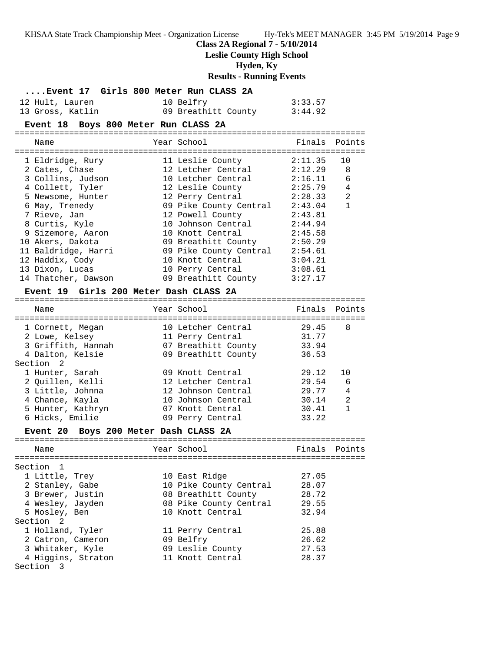**Class 2A Regional 7 - 5/10/2014**

**Leslie County High School**

**Hyden, Ky**

**Results - Running Events**

|                  | Event 17 Girls 800 Meter Run CLASS 2A |         |
|------------------|---------------------------------------|---------|
| 12 Hult, Lauren  | 10 Belfry                             | 3:33.57 |
| 13 Gross, Katlin | 09 Breathitt County                   | 3:44.92 |

## **Event 18 Boys 800 Meter Run CLASS 2A**

| Name                | Year School            |         | Finals Points  |
|---------------------|------------------------|---------|----------------|
|                     |                        |         |                |
| 1 Eldridge, Rury    | 11 Leslie County       | 2:11.35 | 10             |
| 2 Cates, Chase      | 12 Letcher Central     | 2:12.29 | 8              |
| 3 Collins, Judson   | 10 Letcher Central     | 2:16.11 | 6              |
| 4 Collett, Tyler    | 12 Leslie County       | 2:25.79 | 4              |
| 5 Newsome, Hunter   | 12 Perry Central       | 2:28.33 | $\overline{2}$ |
| 6 May, Trenedy      | 09 Pike County Central | 2:43.04 |                |
| 7 Rieve, Jan        | 12 Powell County       | 2:43.81 |                |
| 8 Curtis, Kyle      | 10 Johnson Central     | 2:44.94 |                |
| 9 Sizemore, Aaron   | 10 Knott Central       | 2:45.58 |                |
| 10 Akers, Dakota    | 09 Breathitt County    | 2:50.29 |                |
| 11 Baldridge, Harri | 09 Pike County Central | 2:54.61 |                |
| 12 Haddix, Cody     | 10 Knott Central       | 3:04.21 |                |
| 13 Dixon, Lucas     | 10 Perry Central       | 3:08.61 |                |
| 14 Thatcher, Dawson | 09 Breathitt County    | 3:27.17 |                |

# **Event 19 Girls 200 Meter Dash CLASS 2A**

| Name                                  | Year School         | Finals | Points         |
|---------------------------------------|---------------------|--------|----------------|
|                                       |                     |        |                |
| 1 Cornett, Megan                      | 10 Letcher Central  | 29.45  | 8              |
| 2 Lowe, Kelsey                        | 11 Perry Central    | 31.77  |                |
| 3 Griffith, Hannah                    | 07 Breathitt County | 33.94  |                |
| 4 Dalton, Kelsie                      | 09 Breathitt County | 36.53  |                |
| Section 2                             |                     |        |                |
| 1 Hunter, Sarah                       | 09 Knott Central    | 29.12  | 1 O            |
| 2 Ouillen, Kelli                      | 12 Letcher Central  | 29.54  | 6              |
| 3 Little, Johnna                      | 12 Johnson Central  | 29.77  | 4              |
| 4 Chance, Kayla                       | 10 Johnson Central  | 30.14  | $\mathfrak{D}$ |
| 5 Hunter, Kathryn                     | 07 Knott Central    | 30.41  | 1              |
| 6 Hicks, Emilie                       | 09 Perry Central    | 33.22  |                |
| Event 20 Boys 200 Meter Dash CLASS 2A |                     |        |                |
| Name                                  | Year School         | Finals | Points         |
|                                       |                     |        |                |

| Section 1            |                        |       |
|----------------------|------------------------|-------|
| 1 Little, Trey       | 10 East Ridge          | 27.05 |
| 2 Stanley, Gabe      | 10 Pike County Central | 28.07 |
| 3 Brewer, Justin     | 08 Breathitt County    | 28.72 |
| 4 Wesley, Jayden     | 08 Pike County Central | 29.55 |
| 5 Mosley, Ben        | 10 Knott Central       | 32.94 |
| Section <sub>2</sub> |                        |       |
| 1 Holland, Tyler     | 11 Perry Central       | 25.88 |
| 2 Catron, Cameron    | 09 Belfry              | 26.62 |
| 3 Whitaker, Kyle     | 09 Leslie County       | 27.53 |
| 4 Higgins, Straton   | 11 Knott Central       | 28.37 |
| Section 3            |                        |       |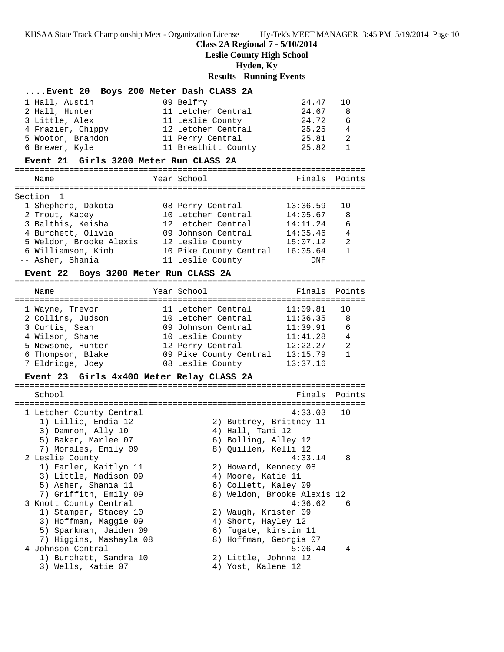# **Class 2A Regional 7 - 5/10/2014**

**Leslie County High School**

**Hyden, Ky**

# **Results - Running Events**

| 1 Hall, Austin                               | Event 20 Boys 200 Meter Dash CLASS 2A      |                      |                   |
|----------------------------------------------|--------------------------------------------|----------------------|-------------------|
|                                              | 09 Belfry                                  | 24.47                | 10                |
| 2 Hall, Hunter                               | 11 Letcher Central                         | 24.67                | 8                 |
| 3 Little, Alex                               | 11 Leslie County                           | 24.72                | 6                 |
| 4 Frazier, Chippy                            | 12 Letcher Central                         | 25.25                | 4                 |
| 5 Wooton, Brandon                            | 11 Perry Central                           | 25.81                | 2                 |
| 6 Brewer, Kyle                               | 11 Breathitt County                        | 25.82                | $\mathbf{1}$      |
| Event 21 Girls 3200 Meter Run CLASS 2A       |                                            |                      |                   |
| Name                                         | Year School                                |                      | Finals Points     |
|                                              |                                            |                      |                   |
| Section 1                                    |                                            |                      |                   |
| 1 Shepherd, Dakota                           | 08 Perry Central                           | 13:36.59             | 10                |
| 2 Trout, Kacey                               | 10 Letcher Central                         | 14:05.67             | 8                 |
| 3 Balthis, Keisha<br>4 Burchett, Olivia      | 12 Letcher Central<br>09 Johnson Central   | 14:11.24<br>14:35.46 | 6<br>4            |
| 5 Weldon, Brooke Alexis 12 Leslie County     |                                            | 15:07.12             | 2                 |
| 6 Williamson, Kimb                           | 10 Pike County Central 16:05.64            |                      | $\mathbf{1}$      |
| -- Asher, Shania                             | 11 Leslie County                           | DNF                  |                   |
|                                              |                                            |                      |                   |
| Event 22 Boys 3200 Meter Run CLASS 2A        |                                            |                      |                   |
| Name                                         | Year School                                | Finals               | Points            |
|                                              |                                            |                      |                   |
| 1 Wayne, Trevor                              | 11 Letcher Central                         | 11:09.81             | 10                |
| 2 Collins, Judson                            | 10 Letcher Central                         | 11:36.35             | - 8               |
| 3 Curtis, Sean                               | 09 Johnson Central                         | 11:39.91             | - 6               |
| 4 Wilson, Shane                              | 10 Leslie County                           | 11:41.28             | 4                 |
| 5 Newsome, Hunter                            | 12 Perry Central                           | 12:22.27             | 2<br>$\mathbf{1}$ |
| 6 Thompson, Blake<br>7 Eldridge, Joey        | 09 Pike County Central<br>08 Leslie County | 13:15.79<br>13:37.16 |                   |
|                                              |                                            |                      |                   |
| Event 23 Girls 4x400 Meter Relay CLASS 2A    |                                            |                      |                   |
|                                              |                                            |                      |                   |
| School                                       |                                            |                      | Finals Points     |
|                                              |                                            |                      |                   |
| 1 Letcher County Central                     |                                            | 4:33.03              | 10                |
| 1) Lillie, Endia 12                          | 2) Buttrey, Brittney 11                    |                      |                   |
| 3) Damron, Ally 10                           | 4) Hall, Tami 12                           |                      |                   |
| 5) Baker, Marlee 07                          | 6) Bolling, Alley 12                       |                      |                   |
| 7) Morales, Emily 09                         | 8) Quillen, Kelli 12                       |                      |                   |
| 2 Leslie County                              |                                            | 4:33.14              | 8                 |
| 1) Farler, Kaitlyn 11                        | 2) Howard, Kennedy 08                      |                      |                   |
| 3) Little, Madison 09                        | 4) Moore, Katie 11                         |                      |                   |
| 5) Asher, Shania 11                          | 6) Collett, Kaley 09                       |                      |                   |
| 7) Griffith, Emily 09                        | 8) Weldon, Brooke Alexis 12                |                      |                   |
| 3 Knott County Central                       |                                            | 4:36.62              | 6                 |
| 1) Stamper, Stacey 10                        | 2) Waugh, Kristen 09                       |                      |                   |
| 3) Hoffman, Maggie 09                        | 4) Short, Hayley 12                        |                      |                   |
| 5) Sparkman, Jaiden 09                       | 6) fugate, kirstin 11                      |                      |                   |
| 7) Higgins, Mashayla 08                      | 8) Hoffman, Georgia 07                     |                      |                   |
| 4 Johnson Central                            |                                            | 5:06.44              | 4                 |
| 1) Burchett, Sandra 10<br>3) Wells, Katie 07 | 2) Little, Johnna 12<br>4) Yost, Kalene 12 |                      |                   |